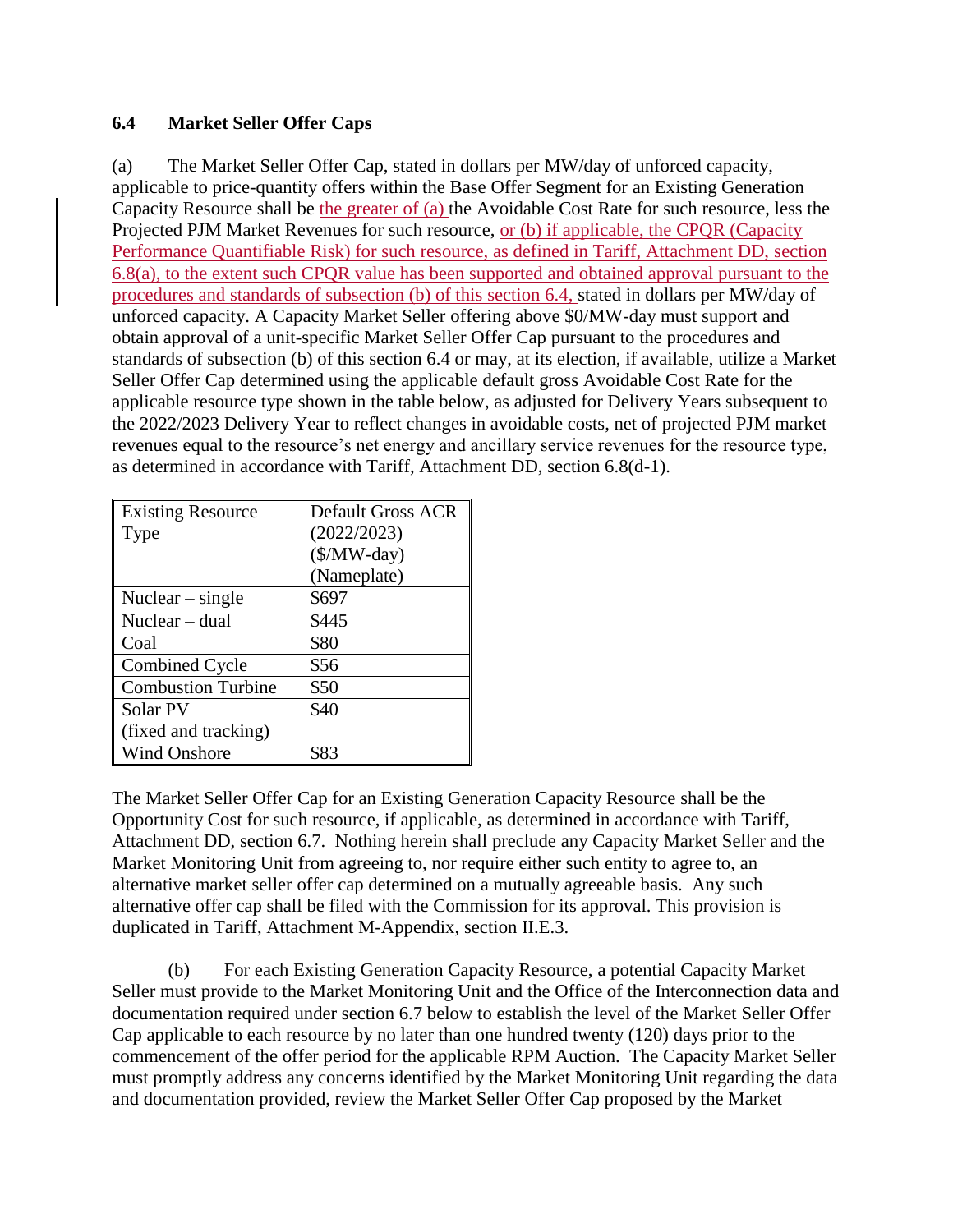## **6.4 Market Seller Offer Caps**

(a) The Market Seller Offer Cap, stated in dollars per MW/day of unforced capacity, applicable to price-quantity offers within the Base Offer Segment for an Existing Generation Capacity Resource shall be the greater of (a) the Avoidable Cost Rate for such resource, less the Projected PJM Market Revenues for such resource, or (b) if applicable, the CPQR (Capacity Performance Quantifiable Risk) for such resource, as defined in Tariff, Attachment DD, section 6.8(a), to the extent such CPQR value has been supported and obtained approval pursuant to the procedures and standards of subsection (b) of this section 6.4, stated in dollars per MW/day of unforced capacity. A Capacity Market Seller offering above \$0/MW-day must support and obtain approval of a unit-specific Market Seller Offer Cap pursuant to the procedures and standards of subsection (b) of this section 6.4 or may, at its election, if available, utilize a Market Seller Offer Cap determined using the applicable default gross Avoidable Cost Rate for the applicable resource type shown in the table below, as adjusted for Delivery Years subsequent to the 2022/2023 Delivery Year to reflect changes in avoidable costs, net of projected PJM market revenues equal to the resource's net energy and ancillary service revenues for the resource type, as determined in accordance with Tariff, Attachment DD, section 6.8(d-1).

| <b>Existing Resource</b>  | Default Gross ACR |
|---------------------------|-------------------|
| <b>Type</b>               | (2022/2023)       |
|                           | $(\$/MW$ -day)    |
|                           | (Nameplate)       |
| Nuclear $-$ single        | \$697             |
| Nuclear $-$ dual          | \$445             |
| Coal                      | \$80              |
| <b>Combined Cycle</b>     | \$56              |
| <b>Combustion Turbine</b> | \$50              |
| Solar PV                  | \$40              |
| (fixed and tracking)      |                   |
| <b>Wind Onshore</b>       | \$83              |

The Market Seller Offer Cap for an Existing Generation Capacity Resource shall be the Opportunity Cost for such resource, if applicable, as determined in accordance with Tariff, Attachment DD, section 6.7. Nothing herein shall preclude any Capacity Market Seller and the Market Monitoring Unit from agreeing to, nor require either such entity to agree to, an alternative market seller offer cap determined on a mutually agreeable basis. Any such alternative offer cap shall be filed with the Commission for its approval. This provision is duplicated in Tariff, Attachment M-Appendix, section II.E.3.

(b) For each Existing Generation Capacity Resource, a potential Capacity Market Seller must provide to the Market Monitoring Unit and the Office of the Interconnection data and documentation required under section 6.7 below to establish the level of the Market Seller Offer Cap applicable to each resource by no later than one hundred twenty (120) days prior to the commencement of the offer period for the applicable RPM Auction. The Capacity Market Seller must promptly address any concerns identified by the Market Monitoring Unit regarding the data and documentation provided, review the Market Seller Offer Cap proposed by the Market